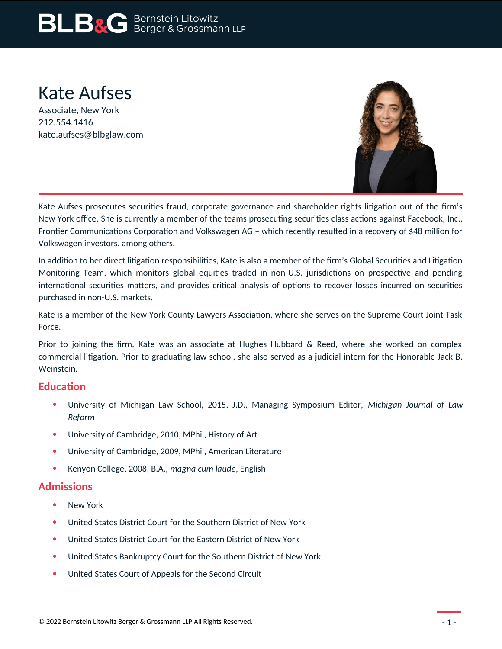# **BLB&G** Bernstein Litowitz

## Kate Aufses

Associate, New York 212.554.1416 kate.aufses@blbglaw.com



Kate Aufses prosecutes securities fraud, corporate governance and shareholder rights litigation out of the firm's New York office. She is currently a member of the teams prosecuting securities class actions against Facebook, Inc., Frontier Communications Corporation and Volkswagen AG – which recently resulted in a recovery of \$48 million for Volkswagen investors, among others.

In addition to her direct litigation responsibilities, Kate is also a member of the firm's Global Securities and Litigation Monitoring Team, which monitors global equities traded in non-U.S. jurisdictions on prospective and pending international securities matters, and provides critical analysis of options to recover losses incurred on securities purchased in non-U.S. markets.

Kate is a member of the New York County Lawyers Association, where she serves on the Supreme Court Joint Task Force.

Prior to joining the firm, Kate was an associate at Hughes Hubbard & Reed, where she worked on complex commercial litigation. Prior to graduating law school, she also served as a judicial intern for the Honorable Jack B. Weinstein.

#### **Education**

- University of Michigan Law School, 2015, J.D., Managing Symposium Editor, *Michigan Journal of Law Reform*
- University of Cambridge, 2010, MPhil, History of Art
- University of Cambridge, 2009, MPhil, American Literature
- Kenyon College, 2008, B.A., *magna cum laude*, English

#### **Admissions**

- New York
- United States District Court for the Southern District of New York
- United States District Court for the Eastern District of New York
- United States Bankruptcy Court for the Southern District of New York
- United States Court of Appeals for the Second Circuit